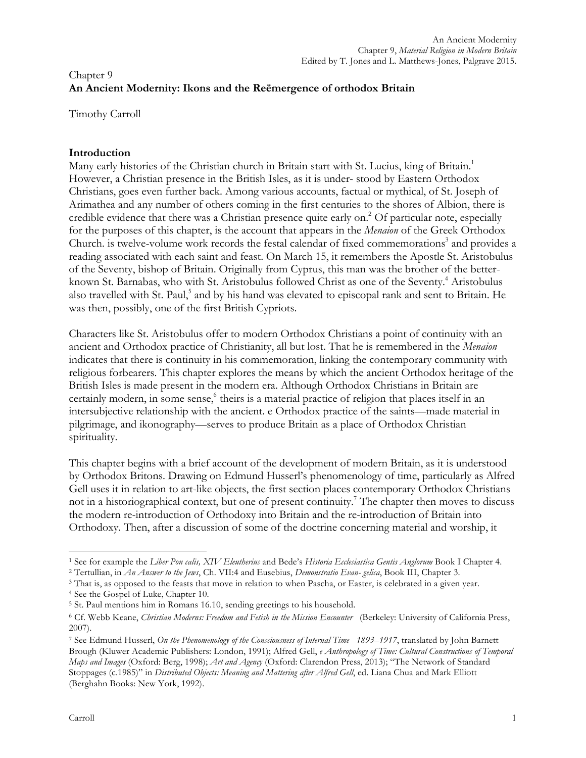# Chapter 9 **An Ancient Modernity: Ikons and the Reëmergence of orthodox Britain**

Timothy Carroll

# **Introduction**

Many early histories of the Christian church in Britain start with St. Lucius, king of Britain.<sup>1</sup> However, a Christian presence in the British Isles, as it is under- stood by Eastern Orthodox Christians, goes even further back. Among various accounts, factual or mythical, of St. Joseph of Arimathea and any number of others coming in the first centuries to the shores of Albion, there is credible evidence that there was a Christian presence quite early on.<sup>2</sup> Of particular note, especially for the purposes of this chapter, is the account that appears in the *Menaion* of the Greek Orthodox Church. is twelve-volume work records the festal calendar of fixed commemorations<sup>3</sup> and provides a reading associated with each saint and feast. On March 15, it remembers the Apostle St. Aristobulus of the Seventy, bishop of Britain. Originally from Cyprus, this man was the brother of the betterknown St. Barnabas, who with St. Aristobulus followed Christ as one of the Seventy.<sup>4</sup> Aristobulus also travelled with St. Paul,<sup>5</sup> and by his hand was elevated to episcopal rank and sent to Britain. He was then, possibly, one of the first British Cypriots.

Characters like St. Aristobulus offer to modern Orthodox Christians a point of continuity with an ancient and Orthodox practice of Christianity, all but lost. That he is remembered in the *Menaion*  indicates that there is continuity in his commemoration, linking the contemporary community with religious forbearers. This chapter explores the means by which the ancient Orthodox heritage of the British Isles is made present in the modern era. Although Orthodox Christians in Britain are certainly modern, in some sense,<sup>6</sup> theirs is a material practice of religion that places itself in an intersubjective relationship with the ancient. e Orthodox practice of the saints—made material in pilgrimage, and ikonography—serves to produce Britain as a place of Orthodox Christian spirituality.

This chapter begins with a brief account of the development of modern Britain, as it is understood by Orthodox Britons. Drawing on Edmund Husserl's phenomenology of time, particularly as Alfred Gell uses it in relation to art-like objects, the first section places contemporary Orthodox Christians not in a historiographical context, but one of present continuity.<sup>7</sup> The chapter then moves to discuss the modern re-introduction of Orthodoxy into Britain and the re-introduction of Britain into Orthodoxy. Then, after a discussion of some of the doctrine concerning material and worship, it

<sup>1</sup> See for example the *Liber Pon calis, XIV Eleutherius* and Bede's *Historia Ecclesiastica Gentis Anglorum* Book I Chapter 4.

<sup>2</sup> Tertullian, in *An Answer to the Jews*, Ch. VII:4 and Eusebius, *Demonstratio Evan- gelica*, Book III, Chapter 3.

<sup>3</sup> That is, as opposed to the feasts that move in relation to when Pascha, or Easter, is celebrated in a given year.

<sup>4</sup> See the Gospel of Luke, Chapter 10.

<sup>5</sup> St. Paul mentions him in Romans 16.10, sending greetings to his household.

<sup>&</sup>lt;sup>6</sup> Cf. Webb Keane, *Christian Moderns: Freedom and Fetish in the Mission Encounter* (Berkeley: University of California Press, 2007).

<sup>7</sup> See Edmund Husserl, *On the Phenomenology of the Consciousness of Internal Time 1893–1917*, translated by John Barnett Brough (Kluwer Academic Publishers: London, 1991); Alfred Gell, *e Anthropology of Time: Cultural Constructions of Temporal Maps and Images* (Oxford: Berg, 1998); *Art and Agency* (Oxford: Clarendon Press, 2013); "The Network of Standard Stoppages (c.1985)" in *Distributed Objects: Meaning and Mattering after Alfred Gell*, ed. Liana Chua and Mark Elliott (Berghahn Books: New York, 1992).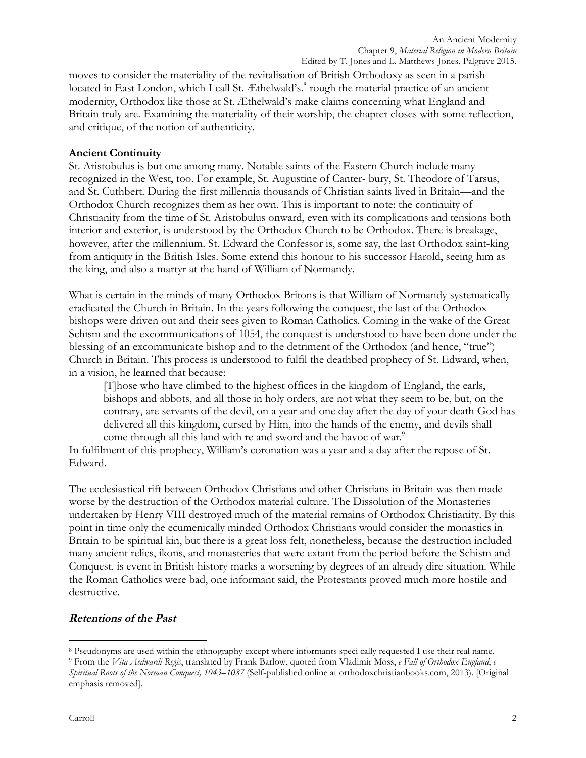moves to consider the materiality of the revitalisation of British Orthodoxy as seen in a parish located in East London, which I call St. Æthelwald's.<sup>8</sup> rough the material practice of an ancient modernity, Orthodox like those at St. Æthelwald's make claims concerning what England and Britain truly are. Examining the materiality of their worship, the chapter closes with some reflection, and critique, of the notion of authenticity.

## **Ancient Continuity**

St. Aristobulus is but one among many. Notable saints of the Eastern Church include many recognized in the West, too. For example, St. Augustine of Canter- bury, St. Theodore of Tarsus, and St. Cuthbert. During the first millennia thousands of Christian saints lived in Britain—and the Orthodox Church recognizes them as her own. This is important to note: the continuity of Christianity from the time of St. Aristobulus onward, even with its complications and tensions both interior and exterior, is understood by the Orthodox Church to be Orthodox. There is breakage, however, after the millennium. St. Edward the Confessor is, some say, the last Orthodox saint-king from antiquity in the British Isles. Some extend this honour to his successor Harold, seeing him as the king, and also a martyr at the hand of William of Normandy.

What is certain in the minds of many Orthodox Britons is that William of Normandy systematically eradicated the Church in Britain. In the years following the conquest, the last of the Orthodox bishops were driven out and their sees given to Roman Catholics. Coming in the wake of the Great Schism and the excommunications of 1054, the conquest is understood to have been done under the blessing of an excommunicate bishop and to the detriment of the Orthodox (and hence, "true") Church in Britain. This process is understood to fulfil the deathbed prophecy of St. Edward, when, in a vision, he learned that because:

[T]hose who have climbed to the highest offices in the kingdom of England, the earls, bishops and abbots, and all those in holy orders, are not what they seem to be, but, on the contrary, are servants of the devil, on a year and one day after the day of your death God has delivered all this kingdom, cursed by Him, into the hands of the enemy, and devils shall come through all this land with re and sword and the havoc of war.<sup>9</sup>

In fulfilment of this prophecy, William's coronation was a year and a day after the repose of St. Edward.

The ecclesiastical rift between Orthodox Christians and other Christians in Britain was then made worse by the destruction of the Orthodox material culture. The Dissolution of the Monasteries undertaken by Henry VIII destroyed much of the material remains of Orthodox Christianity. By this point in time only the ecumenically minded Orthodox Christians would consider the monastics in Britain to be spiritual kin, but there is a great loss felt, nonetheless, because the destruction included many ancient relics, ikons, and monasteries that were extant from the period before the Schism and Conquest. is event in British history marks a worsening by degrees of an already dire situation. While the Roman Catholics were bad, one informant said, the Protestants proved much more hostile and destructive.

# **Retentions of the Past**

<sup>8</sup> Pseudonyms are used within the ethnography except where informants speci cally requested I use their real name.

<sup>9</sup> From the *Vita Aedwardi Regis*, translated by Frank Barlow, quoted from Vladimir Moss, *e Fall of Orthodox England*; *e Spiritual Roots of the Norman Conquest, 1043–1087* (Self-published online at orthodoxchristianbooks.com, 2013). [Original emphasis removed].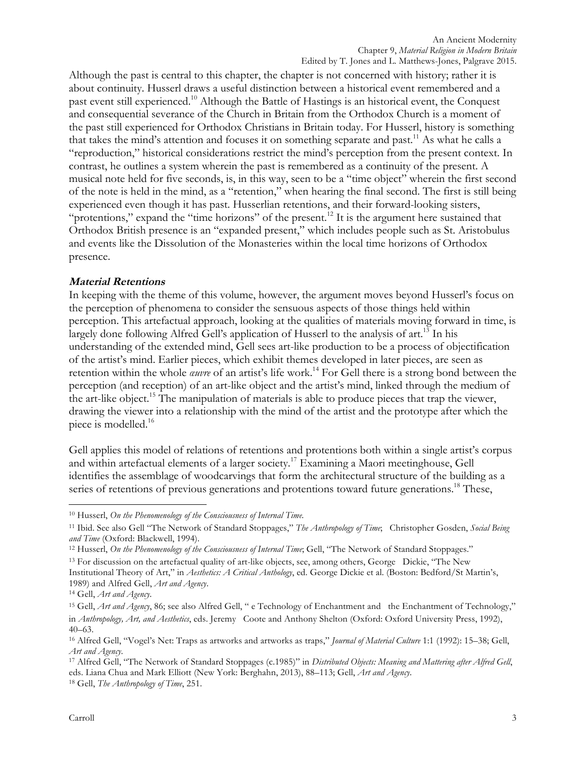Although the past is central to this chapter, the chapter is not concerned with history; rather it is about continuity. Husserl draws a useful distinction between a historical event remembered and a past event still experienced.10 Although the Battle of Hastings is an historical event, the Conquest and consequential severance of the Church in Britain from the Orthodox Church is a moment of the past still experienced for Orthodox Christians in Britain today. For Husserl, history is something that takes the mind's attention and focuses it on something separate and past.<sup>11</sup> As what he calls a "reproduction," historical considerations restrict the mind's perception from the present context. In contrast, he outlines a system wherein the past is remembered as a continuity of the present. A musical note held for five seconds, is, in this way, seen to be a "time object" wherein the first second of the note is held in the mind, as a "retention," when hearing the final second. The first is still being experienced even though it has past. Husserlian retentions, and their forward-looking sisters, "protentions," expand the "time horizons" of the present.<sup>12</sup> It is the argument here sustained that Orthodox British presence is an "expanded present," which includes people such as St. Aristobulus and events like the Dissolution of the Monasteries within the local time horizons of Orthodox presence.

# **Material Retentions**

In keeping with the theme of this volume, however, the argument moves beyond Husserl's focus on the perception of phenomena to consider the sensuous aspects of those things held within perception. This artefactual approach, looking at the qualities of materials moving forward in time, is largely done following Alfred Gell's application of Husserl to the analysis of  $art$ .<sup>13</sup> In his understanding of the extended mind, Gell sees art-like production to be a process of objectification of the artist's mind. Earlier pieces, which exhibit themes developed in later pieces, are seen as retention within the whole *œuvre* of an artist's life work.<sup>14</sup> For Gell there is a strong bond between the perception (and reception) of an art-like object and the artist's mind, linked through the medium of the art-like object.15 The manipulation of materials is able to produce pieces that trap the viewer, drawing the viewer into a relationship with the mind of the artist and the prototype after which the piece is modelled.<sup>16</sup>

Gell applies this model of relations of retentions and protentions both within a single artist's corpus and within artefactual elements of a larger society.<sup>17</sup> Examining a Maori meetinghouse, Gell identifies the assemblage of woodcarvings that form the architectural structure of the building as a series of retentions of previous generations and protentions toward future generations.<sup>18</sup> These,

<sup>10</sup> Husserl, *On the Phenomenology of the Consciousness of Internal Time.*

<sup>11</sup> Ibid. See also Gell "The Network of Standard Stoppages," *The Anthropology of Time*; Christopher Gosden, *Social Being and Time* (Oxford: Blackwell, 1994).

<sup>12</sup> Husserl, *On the Phenomenology of the Consciousness of Internal Time*; Gell, "The Network of Standard Stoppages."

<sup>13</sup> For discussion on the artefactual quality of art-like objects, see, among others, George Dickie, "The New Institutional Theory of Art," in *Aesthetics: A Critical Anthology*, ed. George Dickie et al. (Boston: Bedford/St Martin's, 1989) and Alfred Gell, *Art and Agency*.

<sup>14</sup> Gell, *Art and Agency*.

<sup>15</sup> Gell, *Art and Agency*, 86; see also Alfred Gell, " e Technology of Enchantment and the Enchantment of Technology," in *Anthropology, Art, and Aesthetics*, eds. Jeremy Coote and Anthony Shelton (Oxford: Oxford University Press, 1992), 40–63.

<sup>16</sup> Alfred Gell, "Vogel's Net: Traps as artworks and artworks as traps," *Journal of Material Culture* 1:1 (1992): 15–38; Gell, *Art and Agency*.

<sup>17</sup> Alfred Gell, "The Network of Standard Stoppages (c.1985)" in *Distributed Objects: Meaning and Mattering after Alfred Gell*, eds. Liana Chua and Mark Elliott (New York: Berghahn, 2013), 88–113; Gell, *Art and Agency*. <sup>18</sup> Gell, *The Anthropology of Time*, 251.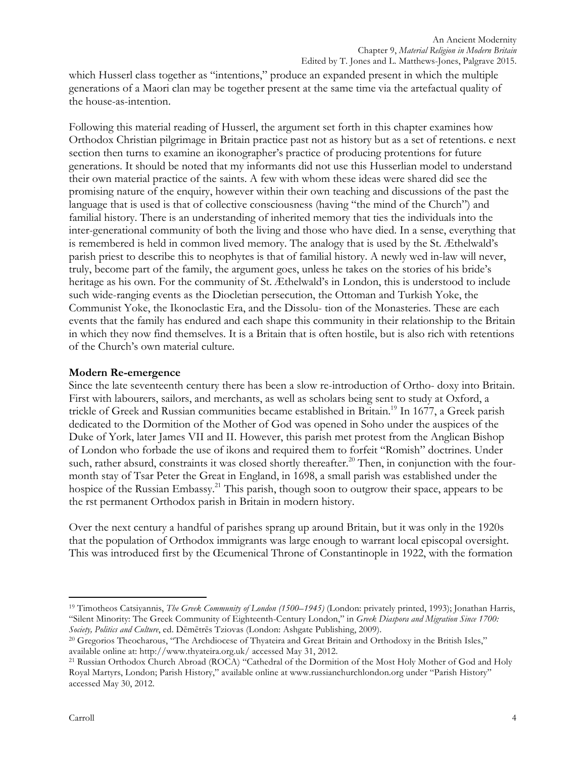which Husserl class together as "intentions," produce an expanded present in which the multiple generations of a Maori clan may be together present at the same time via the artefactual quality of the house-as-intention.

Following this material reading of Husserl, the argument set forth in this chapter examines how Orthodox Christian pilgrimage in Britain practice past not as history but as a set of retentions. e next section then turns to examine an ikonographer's practice of producing protentions for future generations. It should be noted that my informants did not use this Husserlian model to understand their own material practice of the saints. A few with whom these ideas were shared did see the promising nature of the enquiry, however within their own teaching and discussions of the past the language that is used is that of collective consciousness (having "the mind of the Church") and familial history. There is an understanding of inherited memory that ties the individuals into the inter-generational community of both the living and those who have died. In a sense, everything that is remembered is held in common lived memory. The analogy that is used by the St. Æthelwald's parish priest to describe this to neophytes is that of familial history. A newly wed in-law will never, truly, become part of the family, the argument goes, unless he takes on the stories of his bride's heritage as his own. For the community of St. Æthelwald's in London, this is understood to include such wide-ranging events as the Diocletian persecution, the Ottoman and Turkish Yoke, the Communist Yoke, the Ikonoclastic Era, and the Dissolu- tion of the Monasteries. These are each events that the family has endured and each shape this community in their relationship to the Britain in which they now find themselves. It is a Britain that is often hostile, but is also rich with retentions of the Church's own material culture.

## **Modern Re-emergence**

 

Since the late seventeenth century there has been a slow re-introduction of Ortho- doxy into Britain. First with labourers, sailors, and merchants, as well as scholars being sent to study at Oxford, a trickle of Greek and Russian communities became established in Britain.<sup>19</sup> In 1677, a Greek parish dedicated to the Dormition of the Mother of God was opened in Soho under the auspices of the Duke of York, later James VII and II. However, this parish met protest from the Anglican Bishop of London who forbade the use of ikons and required them to forfeit "Romish" doctrines. Under such, rather absurd, constraints it was closed shortly thereafter.<sup>20</sup> Then, in conjunction with the fourmonth stay of Tsar Peter the Great in England, in 1698, a small parish was established under the hospice of the Russian Embassy.<sup>21</sup> This parish, though soon to outgrow their space, appears to be the rst permanent Orthodox parish in Britain in modern history.

Over the next century a handful of parishes sprang up around Britain, but it was only in the 1920s that the population of Orthodox immigrants was large enough to warrant local episcopal oversight. This was introduced first by the Œcumenical Throne of Constantinople in 1922, with the formation

<sup>19</sup> Timotheos Catsiyannis, *The Greek Community of London (1500–1945)* (London: privately printed, 1993); Jonathan Harris, "Silent Minority: The Greek Community of Eighteenth-Century London," in *Greek Diaspora and Migration Since 1700: Society, Politics and Culture*, ed. Dēmētrēs Tziovas (London: Ashgate Publishing, 2009).

<sup>&</sup>lt;sup>20</sup> Gregorios Theocharous, "The Archdiocese of Thyateira and Great Britain and Orthodoxy in the British Isles," available online at: http://www.thyateira.org.uk/ accessed May 31, 2012.

<sup>21</sup> Russian Orthodox Church Abroad (ROCA) "Cathedral of the Dormition of the Most Holy Mother of God and Holy Royal Martyrs, London; Parish History," available online at www.russianchurchlondon.org under "Parish History" accessed May 30, 2012.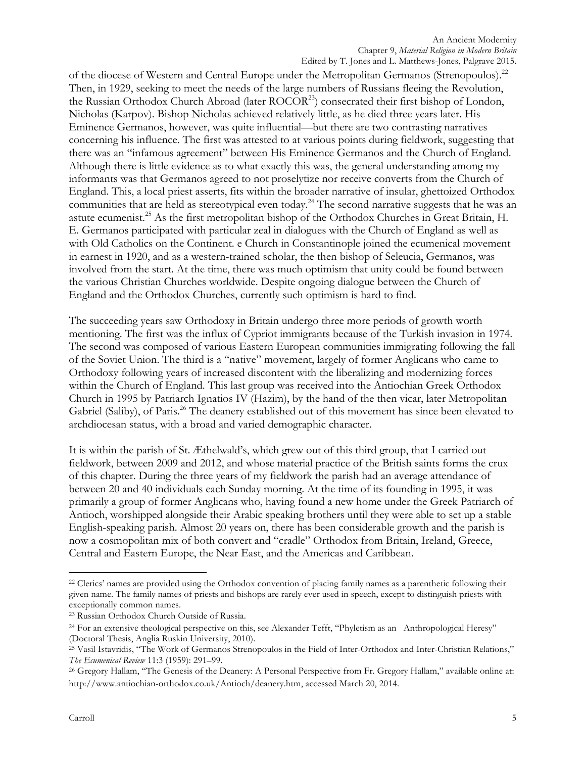of the diocese of Western and Central Europe under the Metropolitan Germanos (Strenopoulos).<sup>22</sup> Then, in 1929, seeking to meet the needs of the large numbers of Russians fleeing the Revolution, the Russian Orthodox Church Abroad (later ROCOR<sup>23</sup>) consecrated their first bishop of London, Nicholas (Karpov). Bishop Nicholas achieved relatively little, as he died three years later. His Eminence Germanos, however, was quite influential—but there are two contrasting narratives concerning his influence. The first was attested to at various points during fieldwork, suggesting that there was an "infamous agreement" between His Eminence Germanos and the Church of England. Although there is little evidence as to what exactly this was, the general understanding among my informants was that Germanos agreed to not proselytize nor receive converts from the Church of England. This, a local priest asserts, fits within the broader narrative of insular, ghettoized Orthodox communities that are held as stereotypical even today.<sup>24</sup> The second narrative suggests that he was an astute ecumenist.<sup>25</sup> As the first metropolitan bishop of the Orthodox Churches in Great Britain, H. E. Germanos participated with particular zeal in dialogues with the Church of England as well as with Old Catholics on the Continent. e Church in Constantinople joined the ecumenical movement in earnest in 1920, and as a western-trained scholar, the then bishop of Seleucia, Germanos, was involved from the start. At the time, there was much optimism that unity could be found between the various Christian Churches worldwide. Despite ongoing dialogue between the Church of England and the Orthodox Churches, currently such optimism is hard to find.

The succeeding years saw Orthodoxy in Britain undergo three more periods of growth worth mentioning. The first was the influx of Cypriot immigrants because of the Turkish invasion in 1974. The second was composed of various Eastern European communities immigrating following the fall of the Soviet Union. The third is a "native" movement, largely of former Anglicans who came to Orthodoxy following years of increased discontent with the liberalizing and modernizing forces within the Church of England. This last group was received into the Antiochian Greek Orthodox Church in 1995 by Patriarch Ignatios IV (Hazim), by the hand of the then vicar, later Metropolitan Gabriel (Saliby), of Paris.<sup>26</sup> The deanery established out of this movement has since been elevated to archdiocesan status, with a broad and varied demographic character.

It is within the parish of St. Æthelwald's, which grew out of this third group, that I carried out fieldwork, between 2009 and 2012, and whose material practice of the British saints forms the crux of this chapter. During the three years of my fieldwork the parish had an average attendance of between 20 and 40 individuals each Sunday morning. At the time of its founding in 1995, it was primarily a group of former Anglicans who, having found a new home under the Greek Patriarch of Antioch, worshipped alongside their Arabic speaking brothers until they were able to set up a stable English-speaking parish. Almost 20 years on, there has been considerable growth and the parish is now a cosmopolitan mix of both convert and "cradle" Orthodox from Britain, Ireland, Greece, Central and Eastern Europe, the Near East, and the Americas and Caribbean.

<sup>&</sup>lt;sup>22</sup> Clerics' names are provided using the Orthodox convention of placing family names as a parenthetic following their given name. The family names of priests and bishops are rarely ever used in speech, except to distinguish priests with exceptionally common names.

<sup>23</sup> Russian Orthodox Church Outside of Russia.

<sup>24</sup> For an extensive theological perspective on this, see Alexander Tefft, "Phyletism as an Anthropological Heresy" (Doctoral Thesis, Anglia Ruskin University, 2010).

<sup>25</sup> Vasil Istavridis, "The Work of Germanos Strenopoulos in the Field of Inter-Orthodox and Inter-Christian Relations," *The Ecumenical Review* 11:3 (1959): 291–99.

<sup>&</sup>lt;sup>26</sup> Gregory Hallam, "The Genesis of the Deanery: A Personal Perspective from Fr. Gregory Hallam," available online at: http://www.antiochian-orthodox.co.uk/Antioch/deanery.htm, accessed March 20, 2014.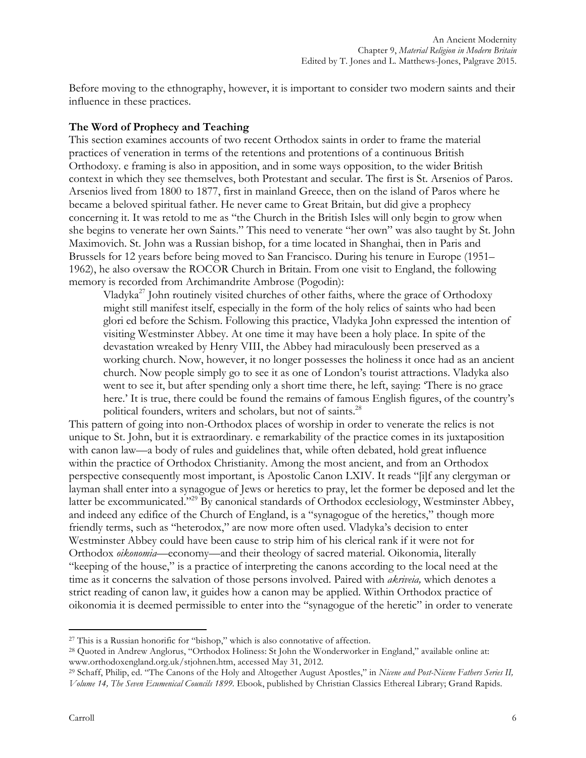Before moving to the ethnography, however, it is important to consider two modern saints and their influence in these practices.

#### **The Word of Prophecy and Teaching**

This section examines accounts of two recent Orthodox saints in order to frame the material practices of veneration in terms of the retentions and protentions of a continuous British Orthodoxy. e framing is also in apposition, and in some ways opposition, to the wider British context in which they see themselves, both Protestant and secular. The first is St. Arsenios of Paros. Arsenios lived from 1800 to 1877, first in mainland Greece, then on the island of Paros where he became a beloved spiritual father. He never came to Great Britain, but did give a prophecy concerning it. It was retold to me as "the Church in the British Isles will only begin to grow when she begins to venerate her own Saints." This need to venerate "her own" was also taught by St. John Maximovich. St. John was a Russian bishop, for a time located in Shanghai, then in Paris and Brussels for 12 years before being moved to San Francisco. During his tenure in Europe (1951– 1962), he also oversaw the ROCOR Church in Britain. From one visit to England, the following memory is recorded from Archimandrite Ambrose (Pogodin):

Vladyka<sup>27</sup> John routinely visited churches of other faiths, where the grace of Orthodoxy might still manifest itself, especially in the form of the holy relics of saints who had been glori ed before the Schism. Following this practice, Vladyka John expressed the intention of visiting Westminster Abbey. At one time it may have been a holy place. In spite of the devastation wreaked by Henry VIII, the Abbey had miraculously been preserved as a working church. Now, however, it no longer possesses the holiness it once had as an ancient church. Now people simply go to see it as one of London's tourist attractions. Vladyka also went to see it, but after spending only a short time there, he left, saying: 'There is no grace here.' It is true, there could be found the remains of famous English figures, of the country's political founders, writers and scholars, but not of saints.<sup>28</sup>

This pattern of going into non-Orthodox places of worship in order to venerate the relics is not unique to St. John, but it is extraordinary. e remarkability of the practice comes in its juxtaposition with canon law—a body of rules and guidelines that, while often debated, hold great influence within the practice of Orthodox Christianity. Among the most ancient, and from an Orthodox perspective consequently most important, is Apostolic Canon LXIV. It reads "[i]f any clergyman or layman shall enter into a synagogue of Jews or heretics to pray, let the former be deposed and let the latter be excommunicated."<sup>29</sup> By canonical standards of Orthodox ecclesiology, Westminster Abbey, and indeed any edifice of the Church of England, is a "synagogue of the heretics," though more friendly terms, such as "heterodox," are now more often used. Vladyka's decision to enter Westminster Abbey could have been cause to strip him of his clerical rank if it were not for Orthodox *oikonomia*—economy—and their theology of sacred material. Oikonomia, literally "keeping of the house," is a practice of interpreting the canons according to the local need at the time as it concerns the salvation of those persons involved. Paired with *akriveia,* which denotes a strict reading of canon law, it guides how a canon may be applied. Within Orthodox practice of oikonomia it is deemed permissible to enter into the "synagogue of the heretic" in order to venerate

 <sup>27</sup> This is a Russian honorific for "bishop," which is also connotative of affection.

<sup>28</sup> Quoted in Andrew Anglorus, "Orthodox Holiness: St John the Wonderworker in England," available online at: www.orthodoxengland.org.uk/stjohnen.htm, accessed May 31, 2012.

<sup>29</sup> Schaff, Philip, ed. "The Canons of the Holy and Altogether August Apostles," in *Nicene and Post-Nicene Fathers Series II, Volume 14, The Seven Ecumenical Councils 1899.* Ebook, published by Christian Classics Ethereal Library; Grand Rapids.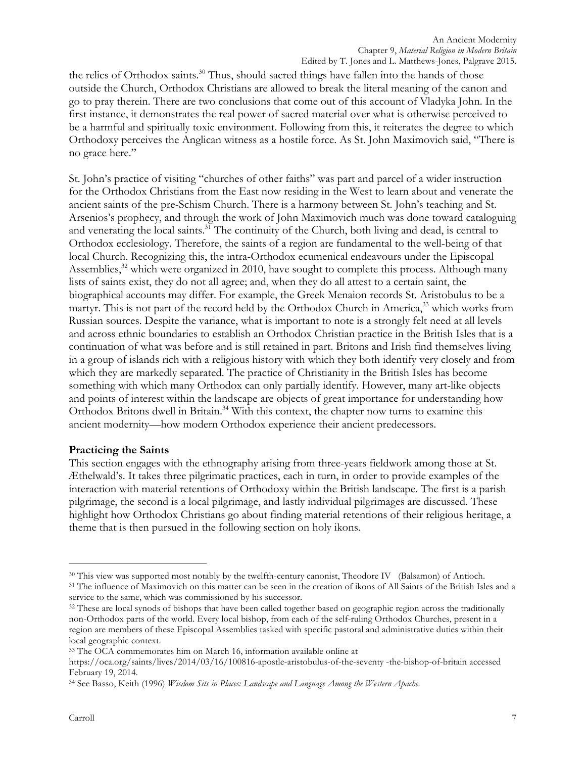the relics of Orthodox saints.<sup>30</sup> Thus, should sacred things have fallen into the hands of those outside the Church, Orthodox Christians are allowed to break the literal meaning of the canon and go to pray therein. There are two conclusions that come out of this account of Vladyka John. In the first instance, it demonstrates the real power of sacred material over what is otherwise perceived to be a harmful and spiritually toxic environment. Following from this, it reiterates the degree to which Orthodoxy perceives the Anglican witness as a hostile force. As St. John Maximovich said, "There is no grace here."

St. John's practice of visiting "churches of other faiths" was part and parcel of a wider instruction for the Orthodox Christians from the East now residing in the West to learn about and venerate the ancient saints of the pre-Schism Church. There is a harmony between St. John's teaching and St. Arsenios's prophecy, and through the work of John Maximovich much was done toward cataloguing and venerating the local saints.<sup>31</sup> The continuity of the Church, both living and dead, is central to Orthodox ecclesiology. Therefore, the saints of a region are fundamental to the well-being of that local Church. Recognizing this, the intra-Orthodox ecumenical endeavours under the Episcopal Assemblies, $32$  which were organized in 2010, have sought to complete this process. Although many lists of saints exist, they do not all agree; and, when they do all attest to a certain saint, the biographical accounts may differ. For example, the Greek Menaion records St. Aristobulus to be a martyr. This is not part of the record held by the Orthodox Church in America, $33$  which works from Russian sources. Despite the variance, what is important to note is a strongly felt need at all levels and across ethnic boundaries to establish an Orthodox Christian practice in the British Isles that is a continuation of what was before and is still retained in part. Britons and Irish find themselves living in a group of islands rich with a religious history with which they both identify very closely and from which they are markedly separated. The practice of Christianity in the British Isles has become something with which many Orthodox can only partially identify. However, many art-like objects and points of interest within the landscape are objects of great importance for understanding how Orthodox Britons dwell in Britain.<sup>34</sup> With this context, the chapter now turns to examine this ancient modernity—how modern Orthodox experience their ancient predecessors.

## **Practicing the Saints**

 

This section engages with the ethnography arising from three-years fieldwork among those at St. Æthelwald's. It takes three pilgrimatic practices, each in turn, in order to provide examples of the interaction with material retentions of Orthodoxy within the British landscape. The first is a parish pilgrimage, the second is a local pilgrimage, and lastly individual pilgrimages are discussed. These highlight how Orthodox Christians go about finding material retentions of their religious heritage, a theme that is then pursued in the following section on holy ikons.

<sup>30</sup> This view was supported most notably by the twelfth-century canonist, Theodore IV (Balsamon) of Antioch.

<sup>31</sup> The influence of Maximovich on this matter can be seen in the creation of ikons of All Saints of the British Isles and a service to the same, which was commissioned by his successor.

<sup>&</sup>lt;sup>32</sup> These are local synods of bishops that have been called together based on geographic region across the traditionally non-Orthodox parts of the world. Every local bishop, from each of the self-ruling Orthodox Churches, present in a region are members of these Episcopal Assemblies tasked with specific pastoral and administrative duties within their local geographic context.

<sup>33</sup> The OCA commemorates him on March 16, information available online at

https://oca.org/saints/lives/2014/03/16/100816-apostle-aristobulus-of-the-seventy -the-bishop-of-britain accessed February 19, 2014.

<sup>34</sup> See Basso, Keith (1996) *Wisdom Sits in Places: Landscape and Language Among the Western Apache.*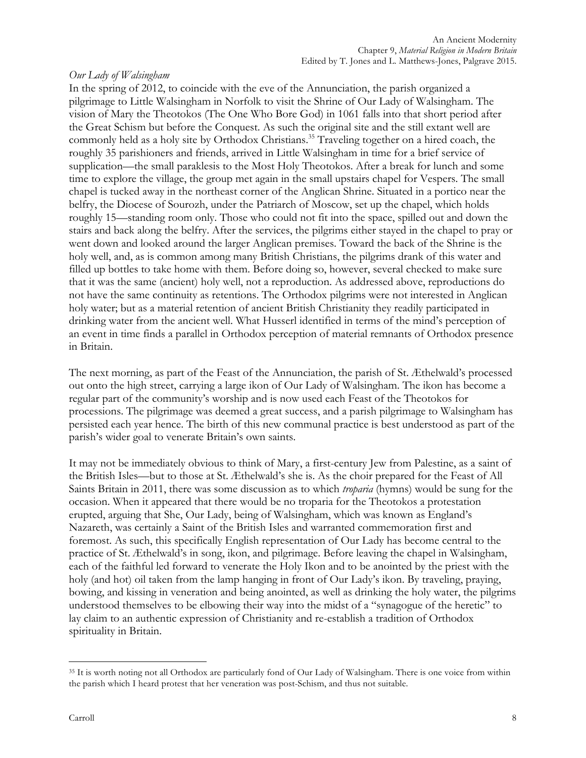#### *Our Lady of Walsingham*

In the spring of 2012, to coincide with the eve of the Annunciation, the parish organized a pilgrimage to Little Walsingham in Norfolk to visit the Shrine of Our Lady of Walsingham. The vision of Mary the Theotokos (The One Who Bore God) in 1061 falls into that short period after the Great Schism but before the Conquest. As such the original site and the still extant well are commonly held as a holy site by Orthodox Christians.<sup>35</sup> Traveling together on a hired coach, the roughly 35 parishioners and friends, arrived in Little Walsingham in time for a brief service of supplication—the small paraklesis to the Most Holy Theotokos. After a break for lunch and some time to explore the village, the group met again in the small upstairs chapel for Vespers. The small chapel is tucked away in the northeast corner of the Anglican Shrine. Situated in a portico near the belfry, the Diocese of Sourozh, under the Patriarch of Moscow, set up the chapel, which holds roughly 15—standing room only. Those who could not fit into the space, spilled out and down the stairs and back along the belfry. After the services, the pilgrims either stayed in the chapel to pray or went down and looked around the larger Anglican premises. Toward the back of the Shrine is the holy well, and, as is common among many British Christians, the pilgrims drank of this water and filled up bottles to take home with them. Before doing so, however, several checked to make sure that it was the same (ancient) holy well, not a reproduction. As addressed above, reproductions do not have the same continuity as retentions. The Orthodox pilgrims were not interested in Anglican holy water; but as a material retention of ancient British Christianity they readily participated in drinking water from the ancient well. What Husserl identified in terms of the mind's perception of an event in time finds a parallel in Orthodox perception of material remnants of Orthodox presence in Britain.

The next morning, as part of the Feast of the Annunciation, the parish of St. Æthelwald's processed out onto the high street, carrying a large ikon of Our Lady of Walsingham. The ikon has become a regular part of the community's worship and is now used each Feast of the Theotokos for processions. The pilgrimage was deemed a great success, and a parish pilgrimage to Walsingham has persisted each year hence. The birth of this new communal practice is best understood as part of the parish's wider goal to venerate Britain's own saints.

It may not be immediately obvious to think of Mary, a first-century Jew from Palestine, as a saint of the British Isles—but to those at St. Æthelwald's she is. As the choir prepared for the Feast of All Saints Britain in 2011, there was some discussion as to which *troparia* (hymns) would be sung for the occasion. When it appeared that there would be no troparia for the Theotokos a protestation erupted, arguing that She, Our Lady, being of Walsingham, which was known as England's Nazareth, was certainly a Saint of the British Isles and warranted commemoration first and foremost. As such, this specifically English representation of Our Lady has become central to the practice of St. Æthelwald's in song, ikon, and pilgrimage. Before leaving the chapel in Walsingham, each of the faithful led forward to venerate the Holy Ikon and to be anointed by the priest with the holy (and hot) oil taken from the lamp hanging in front of Our Lady's ikon. By traveling, praying, bowing, and kissing in veneration and being anointed, as well as drinking the holy water, the pilgrims understood themselves to be elbowing their way into the midst of a "synagogue of the heretic" to lay claim to an authentic expression of Christianity and re-establish a tradition of Orthodox spirituality in Britain.

 <sup>35</sup> It is worth noting not all Orthodox are particularly fond of Our Lady of Walsingham. There is one voice from within the parish which I heard protest that her veneration was post-Schism, and thus not suitable.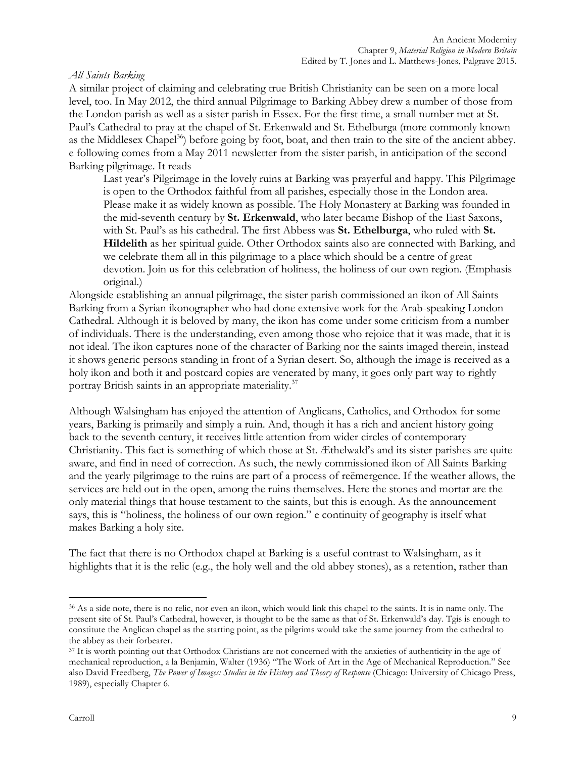#### *All Saints Barking*

A similar project of claiming and celebrating true British Christianity can be seen on a more local level, too. In May 2012, the third annual Pilgrimage to Barking Abbey drew a number of those from the London parish as well as a sister parish in Essex. For the first time, a small number met at St. Paul's Cathedral to pray at the chapel of St. Erkenwald and St. Ethelburga (more commonly known as the Middlesex Chapel<sup>36</sup>) before going by foot, boat, and then train to the site of the ancient abbey. e following comes from a May 2011 newsletter from the sister parish, in anticipation of the second Barking pilgrimage. It reads

Last year's Pilgrimage in the lovely ruins at Barking was prayerful and happy. This Pilgrimage is open to the Orthodox faithful from all parishes, especially those in the London area. Please make it as widely known as possible. The Holy Monastery at Barking was founded in the mid-seventh century by **St. Erkenwald**, who later became Bishop of the East Saxons, with St. Paul's as his cathedral. The first Abbess was **St. Ethelburga**, who ruled with **St. Hildelith** as her spiritual guide. Other Orthodox saints also are connected with Barking, and we celebrate them all in this pilgrimage to a place which should be a centre of great devotion. Join us for this celebration of holiness, the holiness of our own region. (Emphasis original.)

Alongside establishing an annual pilgrimage, the sister parish commissioned an ikon of All Saints Barking from a Syrian ikonographer who had done extensive work for the Arab-speaking London Cathedral. Although it is beloved by many, the ikon has come under some criticism from a number of individuals. There is the understanding, even among those who rejoice that it was made, that it is not ideal. The ikon captures none of the character of Barking nor the saints imaged therein, instead it shows generic persons standing in front of a Syrian desert. So, although the image is received as a holy ikon and both it and postcard copies are venerated by many, it goes only part way to rightly portray British saints in an appropriate materiality.37

Although Walsingham has enjoyed the attention of Anglicans, Catholics, and Orthodox for some years, Barking is primarily and simply a ruin. And, though it has a rich and ancient history going back to the seventh century, it receives little attention from wider circles of contemporary Christianity. This fact is something of which those at St. Æthelwald's and its sister parishes are quite aware, and find in need of correction. As such, the newly commissioned ikon of All Saints Barking and the yearly pilgrimage to the ruins are part of a process of reëmergence. If the weather allows, the services are held out in the open, among the ruins themselves. Here the stones and mortar are the only material things that house testament to the saints, but this is enough. As the announcement says, this is "holiness, the holiness of our own region." e continuity of geography is itself what makes Barking a holy site.

The fact that there is no Orthodox chapel at Barking is a useful contrast to Walsingham, as it highlights that it is the relic (e.g., the holy well and the old abbey stones), as a retention, rather than

<sup>36</sup> As a side note, there is no relic, nor even an ikon, which would link this chapel to the saints. It is in name only. The present site of St. Paul's Cathedral, however, is thought to be the same as that of St. Erkenwald's day. Tgis is enough to constitute the Anglican chapel as the starting point, as the pilgrims would take the same journey from the cathedral to the abbey as their forbearer.

<sup>&</sup>lt;sup>37</sup> It is worth pointing out that Orthodox Christians are not concerned with the anxieties of authenticity in the age of mechanical reproduction, a la Benjamin, Walter (1936) "The Work of Art in the Age of Mechanical Reproduction." See also David Freedberg, *The Power of Images: Studies in the History and Theory of Response* (Chicago: University of Chicago Press, 1989), especially Chapter 6.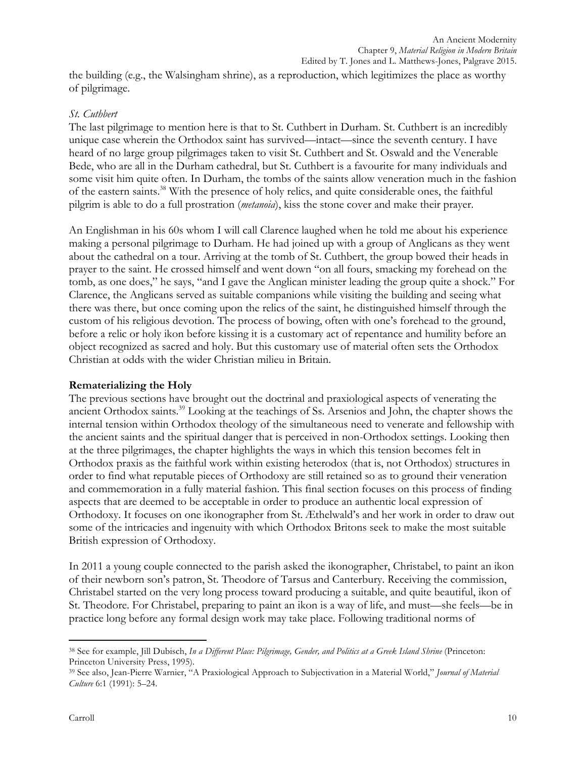the building (e.g., the Walsingham shrine), as a reproduction, which legitimizes the place as worthy of pilgrimage.

## *St. Cuthbert*

The last pilgrimage to mention here is that to St. Cuthbert in Durham. St. Cuthbert is an incredibly unique case wherein the Orthodox saint has survived—intact—since the seventh century. I have heard of no large group pilgrimages taken to visit St. Cuthbert and St. Oswald and the Venerable Bede, who are all in the Durham cathedral, but St. Cuthbert is a favourite for many individuals and some visit him quite often. In Durham, the tombs of the saints allow veneration much in the fashion of the eastern saints.38 With the presence of holy relics, and quite considerable ones, the faithful pilgrim is able to do a full prostration (*metanoia*), kiss the stone cover and make their prayer.

An Englishman in his 60s whom I will call Clarence laughed when he told me about his experience making a personal pilgrimage to Durham. He had joined up with a group of Anglicans as they went about the cathedral on a tour. Arriving at the tomb of St. Cuthbert, the group bowed their heads in prayer to the saint. He crossed himself and went down "on all fours, smacking my forehead on the tomb, as one does," he says, "and I gave the Anglican minister leading the group quite a shock." For Clarence, the Anglicans served as suitable companions while visiting the building and seeing what there was there, but once coming upon the relics of the saint, he distinguished himself through the custom of his religious devotion. The process of bowing, often with one's forehead to the ground, before a relic or holy ikon before kissing it is a customary act of repentance and humility before an object recognized as sacred and holy. But this customary use of material often sets the Orthodox Christian at odds with the wider Christian milieu in Britain.

## **Rematerializing the Holy**

 

The previous sections have brought out the doctrinal and praxiological aspects of venerating the ancient Orthodox saints.<sup>39</sup> Looking at the teachings of Ss. Arsenios and John, the chapter shows the internal tension within Orthodox theology of the simultaneous need to venerate and fellowship with the ancient saints and the spiritual danger that is perceived in non-Orthodox settings. Looking then at the three pilgrimages, the chapter highlights the ways in which this tension becomes felt in Orthodox praxis as the faithful work within existing heterodox (that is, not Orthodox) structures in order to find what reputable pieces of Orthodoxy are still retained so as to ground their veneration and commemoration in a fully material fashion. This final section focuses on this process of finding aspects that are deemed to be acceptable in order to produce an authentic local expression of Orthodoxy. It focuses on one ikonographer from St. Æthelwald's and her work in order to draw out some of the intricacies and ingenuity with which Orthodox Britons seek to make the most suitable British expression of Orthodoxy.

In 2011 a young couple connected to the parish asked the ikonographer, Christabel, to paint an ikon of their newborn son's patron, St. Theodore of Tarsus and Canterbury. Receiving the commission, Christabel started on the very long process toward producing a suitable, and quite beautiful, ikon of St. Theodore. For Christabel, preparing to paint an ikon is a way of life, and must—she feels—be in practice long before any formal design work may take place. Following traditional norms of

<sup>&</sup>lt;sup>38</sup> See for example, Jill Dubisch, *In a Different Place: Pilgrimage, Gender, and Politics at a Greek Island Shrine* (Princeton: Princeton University Press, 1995).

<sup>39</sup> See also, Jean-Pierre Warnier, "A Praxiological Approach to Subjectivation in a Material World," *Journal of Material Culture* 6:1 (1991): 5–24.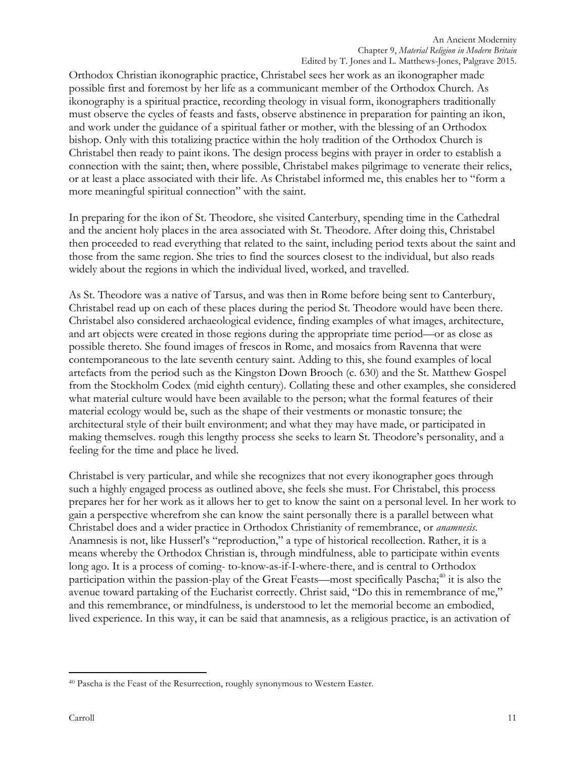Orthodox Christian ikonographic practice, Christabel sees her work as an ikonographer made possible first and foremost by her life as a communicant member of the Orthodox Church. As ikonography is a spiritual practice, recording theology in visual form, ikonographers traditionally must observe the cycles of feasts and fasts, observe abstinence in preparation for painting an ikon, and work under the guidance of a spiritual father or mother, with the blessing of an Orthodox bishop. Only with this totalizing practice within the holy tradition of the Orthodox Church is Christabel then ready to paint ikons. The design process begins with prayer in order to establish a connection with the saint; then, where possible, Christabel makes pilgrimage to venerate their relics, or at least a place associated with their life. As Christabel informed me, this enables her to "form a more meaningful spiritual connection" with the saint.

In preparing for the ikon of St. Theodore, she visited Canterbury, spending time in the Cathedral and the ancient holy places in the area associated with St. Theodore. After doing this, Christabel then proceeded to read everything that related to the saint, including period texts about the saint and those from the same region. She tries to find the sources closest to the individual, but also reads widely about the regions in which the individual lived, worked, and travelled.

As St. Theodore was a native of Tarsus, and was then in Rome before being sent to Canterbury, Christabel read up on each of these places during the period St. Theodore would have been there. Christabel also considered archaeological evidence, finding examples of what images, architecture, and art objects were created in those regions during the appropriate time period—or as close as possible thereto. She found images of frescos in Rome, and mosaics from Ravenna that were contemporaneous to the late seventh century saint. Adding to this, she found examples of local artefacts from the period such as the Kingston Down Brooch (c. 630) and the St. Matthew Gospel from the Stockholm Codex (mid eighth century). Collating these and other examples, she considered what material culture would have been available to the person; what the formal features of their material ecology would be, such as the shape of their vestments or monastic tonsure; the architectural style of their built environment; and what they may have made, or participated in making themselves. rough this lengthy process she seeks to learn St. Theodore's personality, and a feeling for the time and place he lived.

Christabel is very particular, and while she recognizes that not every ikonographer goes through such a highly engaged process as outlined above, she feels she must. For Christabel, this process prepares her for her work as it allows her to get to know the saint on a personal level. In her work to gain a perspective wherefrom she can know the saint personally there is a parallel between what Christabel does and a wider practice in Orthodox Christianity of remembrance, or *anamnesis*. Anamnesis is not, like Husserl's "reproduction," a type of historical recollection. Rather, it is a means whereby the Orthodox Christian is, through mindfulness, able to participate within events long ago. It is a process of coming- to-know-as-if-I-where-there, and is central to Orthodox participation within the passion-play of the Great Feasts—most specifically Pascha;<sup>40</sup> it is also the avenue toward partaking of the Eucharist correctly. Christ said, "Do this in remembrance of me," and this remembrance, or mindfulness, is understood to let the memorial become an embodied, lived experience. In this way, it can be said that anamnesis, as a religious practice, is an activation of

<sup>40</sup> Pascha is the Feast of the Resurrection, roughly synonymous to Western Easter.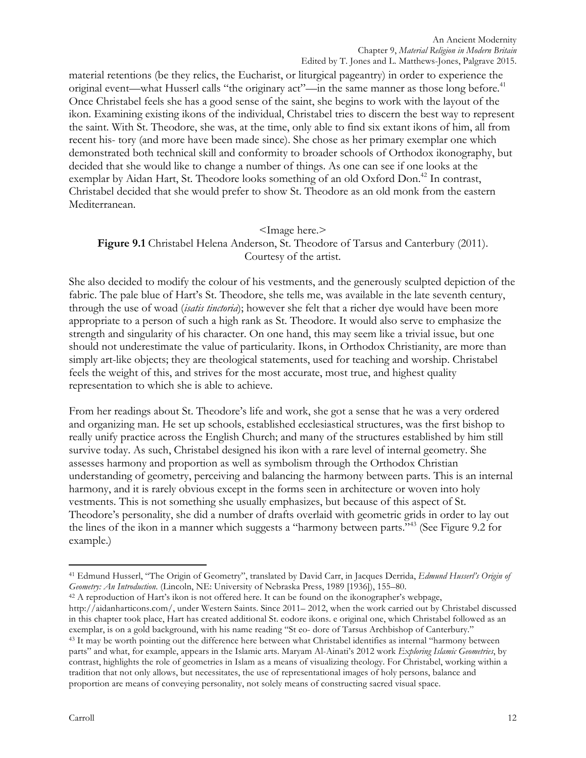material retentions (be they relics, the Eucharist, or liturgical pageantry) in order to experience the original event—what Husserl calls "the originary act"—in the same manner as those long before.<sup>41</sup> Once Christabel feels she has a good sense of the saint, she begins to work with the layout of the ikon. Examining existing ikons of the individual, Christabel tries to discern the best way to represent the saint. With St. Theodore, she was, at the time, only able to find six extant ikons of him, all from recent his- tory (and more have been made since). She chose as her primary exemplar one which demonstrated both technical skill and conformity to broader schools of Orthodox ikonography, but decided that she would like to change a number of things. As one can see if one looks at the exemplar by Aidan Hart, St. Theodore looks something of an old Oxford Don.<sup>42</sup> In contrast, Christabel decided that she would prefer to show St. Theodore as an old monk from the eastern Mediterranean.

#### <Image here.>

## **Figure 9.1** Christabel Helena Anderson, St. Theodore of Tarsus and Canterbury (2011). Courtesy of the artist.

She also decided to modify the colour of his vestments, and the generously sculpted depiction of the fabric. The pale blue of Hart's St. Theodore, she tells me, was available in the late seventh century, through the use of woad (*isatis tinctoria*); however she felt that a richer dye would have been more appropriate to a person of such a high rank as St. Theodore. It would also serve to emphasize the strength and singularity of his character. On one hand, this may seem like a trivial issue, but one should not underestimate the value of particularity. Ikons, in Orthodox Christianity, are more than simply art-like objects; they are theological statements, used for teaching and worship. Christabel feels the weight of this, and strives for the most accurate, most true, and highest quality representation to which she is able to achieve.

From her readings about St. Theodore's life and work, she got a sense that he was a very ordered and organizing man. He set up schools, established ecclesiastical structures, was the first bishop to really unify practice across the English Church; and many of the structures established by him still survive today. As such, Christabel designed his ikon with a rare level of internal geometry. She assesses harmony and proportion as well as symbolism through the Orthodox Christian understanding of geometry, perceiving and balancing the harmony between parts. This is an internal harmony, and it is rarely obvious except in the forms seen in architecture or woven into holy vestments. This is not something she usually emphasizes, but because of this aspect of St. Theodore's personality, she did a number of drafts overlaid with geometric grids in order to lay out the lines of the ikon in a manner which suggests a "harmony between parts."43 (See Figure 9.2 for example.)

<sup>42</sup> A reproduction of Hart's ikon is not offered here. It can be found on the ikonographer's webpage, http://aidanharticons.com/, under Western Saints. Since 2011– 2012, when the work carried out by Christabel discussed in this chapter took place, Hart has created additional St. eodore ikons. e original one, which Christabel followed as an exemplar, is on a gold background, with his name reading "St eo- dore of Tarsus Archbishop of Canterbury." <sup>43</sup> It may be worth pointing out the difference here between what Christabel identifies as internal "harmony between parts" and what, for example, appears in the Islamic arts. Maryam Al-Ainati's 2012 work *Exploring Islamic Geometries*, by contrast, highlights the role of geometries in Islam as a means of visualizing theology. For Christabel, working within a tradition that not only allows, but necessitates, the use of representational images of holy persons, balance and proportion are means of conveying personality, not solely means of constructing sacred visual space.

 <sup>41</sup> Edmund Husserl, "The Origin of Geometry", translated by David Carr, in Jacques Derrida, *Edmund Husserl's Origin of Geometry: An Introduction*. (Lincoln, NE: University of Nebraska Press, 1989 [1936]), 155–80.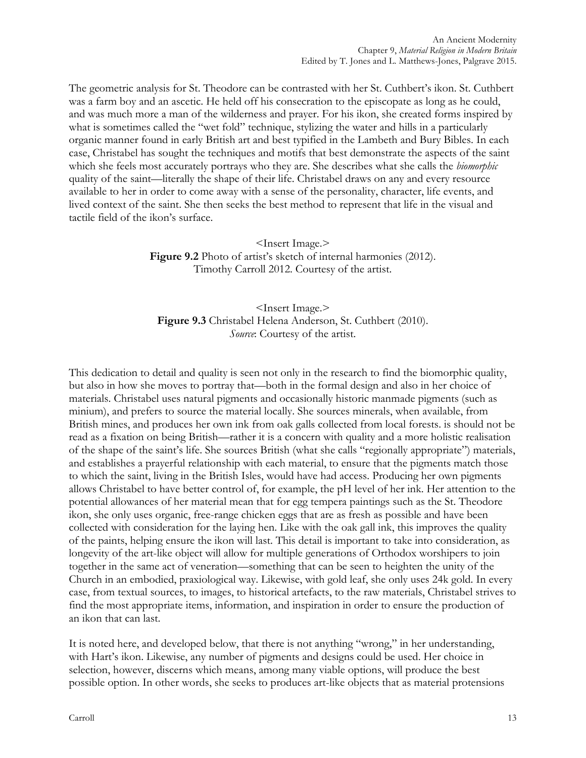The geometric analysis for St. Theodore can be contrasted with her St. Cuthbert's ikon. St. Cuthbert was a farm boy and an ascetic. He held off his consecration to the episcopate as long as he could, and was much more a man of the wilderness and prayer. For his ikon, she created forms inspired by what is sometimes called the "wet fold" technique, stylizing the water and hills in a particularly organic manner found in early British art and best typified in the Lambeth and Bury Bibles. In each case, Christabel has sought the techniques and motifs that best demonstrate the aspects of the saint which she feels most accurately portrays who they are. She describes what she calls the *biomorphic*  quality of the saint—literally the shape of their life. Christabel draws on any and every resource available to her in order to come away with a sense of the personality, character, life events, and lived context of the saint. She then seeks the best method to represent that life in the visual and tactile field of the ikon's surface.

> <Insert Image.> **Figure 9.2** Photo of artist's sketch of internal harmonies (2012). Timothy Carroll 2012. Courtesy of the artist.

<Insert Image.> **Figure 9.3** Christabel Helena Anderson, St. Cuthbert (2010). *Source*: Courtesy of the artist.

This dedication to detail and quality is seen not only in the research to find the biomorphic quality, but also in how she moves to portray that—both in the formal design and also in her choice of materials. Christabel uses natural pigments and occasionally historic manmade pigments (such as minium), and prefers to source the material locally. She sources minerals, when available, from British mines, and produces her own ink from oak galls collected from local forests. is should not be read as a fixation on being British—rather it is a concern with quality and a more holistic realisation of the shape of the saint's life. She sources British (what she calls "regionally appropriate") materials, and establishes a prayerful relationship with each material, to ensure that the pigments match those to which the saint, living in the British Isles, would have had access. Producing her own pigments allows Christabel to have better control of, for example, the pH level of her ink. Her attention to the potential allowances of her material mean that for egg tempera paintings such as the St. Theodore ikon, she only uses organic, free-range chicken eggs that are as fresh as possible and have been collected with consideration for the laying hen. Like with the oak gall ink, this improves the quality of the paints, helping ensure the ikon will last. This detail is important to take into consideration, as longevity of the art-like object will allow for multiple generations of Orthodox worshipers to join together in the same act of veneration—something that can be seen to heighten the unity of the Church in an embodied, praxiological way. Likewise, with gold leaf, she only uses 24k gold. In every case, from textual sources, to images, to historical artefacts, to the raw materials, Christabel strives to find the most appropriate items, information, and inspiration in order to ensure the production of an ikon that can last.

It is noted here, and developed below, that there is not anything "wrong," in her understanding, with Hart's ikon. Likewise, any number of pigments and designs could be used. Her choice in selection, however, discerns which means, among many viable options, will produce the best possible option. In other words, she seeks to produces art-like objects that as material protensions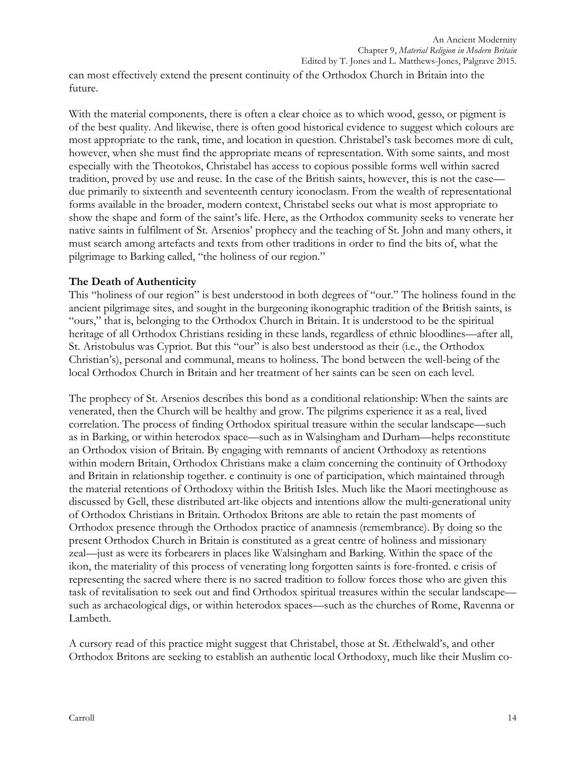can most effectively extend the present continuity of the Orthodox Church in Britain into the future.

With the material components, there is often a clear choice as to which wood, gesso, or pigment is of the best quality. And likewise, there is often good historical evidence to suggest which colours are most appropriate to the rank, time, and location in question. Christabel's task becomes more di cult, however, when she must find the appropriate means of representation. With some saints, and most especially with the Theotokos, Christabel has access to copious possible forms well within sacred tradition, proved by use and reuse. In the case of the British saints, however, this is not the case due primarily to sixteenth and seventeenth century iconoclasm. From the wealth of representational forms available in the broader, modern context, Christabel seeks out what is most appropriate to show the shape and form of the saint's life. Here, as the Orthodox community seeks to venerate her native saints in fulfilment of St. Arsenios' prophecy and the teaching of St. John and many others, it must search among artefacts and texts from other traditions in order to find the bits of, what the pilgrimage to Barking called, "the holiness of our region."

# **The Death of Authenticity**

This "holiness of our region" is best understood in both degrees of "our." The holiness found in the ancient pilgrimage sites, and sought in the burgeoning ikonographic tradition of the British saints, is "ours," that is, belonging to the Orthodox Church in Britain. It is understood to be the spiritual heritage of all Orthodox Christians residing in these lands, regardless of ethnic bloodlines—after all, St. Aristobulus was Cypriot. But this "our" is also best understood as their (i.e., the Orthodox Christian's), personal and communal, means to holiness. The bond between the well-being of the local Orthodox Church in Britain and her treatment of her saints can be seen on each level.

The prophecy of St. Arsenios describes this bond as a conditional relationship: When the saints are venerated, then the Church will be healthy and grow. The pilgrims experience it as a real, lived correlation. The process of finding Orthodox spiritual treasure within the secular landscape—such as in Barking, or within heterodox space—such as in Walsingham and Durham—helps reconstitute an Orthodox vision of Britain. By engaging with remnants of ancient Orthodoxy as retentions within modern Britain, Orthodox Christians make a claim concerning the continuity of Orthodoxy and Britain in relationship together. e continuity is one of participation, which maintained through the material retentions of Orthodoxy within the British Isles. Much like the Maori meetinghouse as discussed by Gell, these distributed art-like objects and intentions allow the multi-generational unity of Orthodox Christians in Britain. Orthodox Britons are able to retain the past moments of Orthodox presence through the Orthodox practice of anamnesis (remembrance). By doing so the present Orthodox Church in Britain is constituted as a great centre of holiness and missionary zeal—just as were its forbearers in places like Walsingham and Barking. Within the space of the ikon, the materiality of this process of venerating long forgotten saints is fore-fronted. e crisis of representing the sacred where there is no sacred tradition to follow forces those who are given this task of revitalisation to seek out and find Orthodox spiritual treasures within the secular landscape such as archaeological digs, or within heterodox spaces—such as the churches of Rome, Ravenna or Lambeth.

A cursory read of this practice might suggest that Christabel, those at St. Æthelwald's, and other Orthodox Britons are seeking to establish an authentic local Orthodoxy, much like their Muslim co-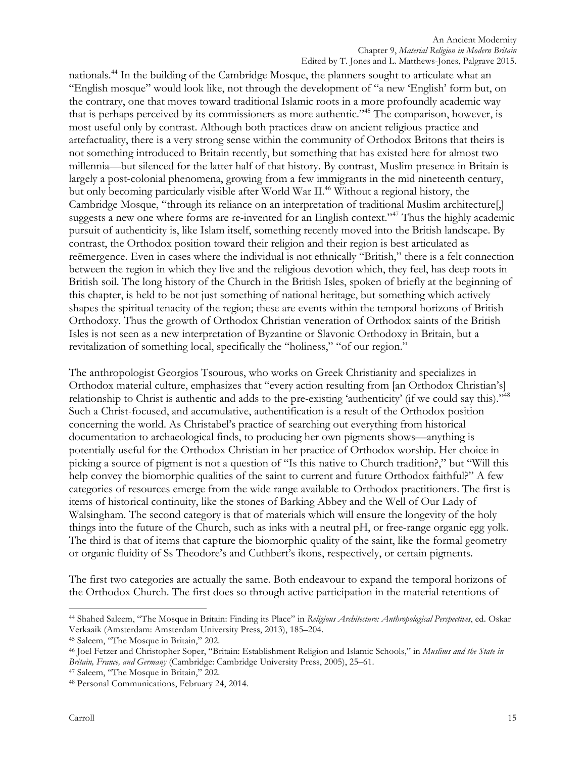nationals.44 In the building of the Cambridge Mosque, the planners sought to articulate what an "English mosque" would look like, not through the development of "a new 'English' form but, on the contrary, one that moves toward traditional Islamic roots in a more profoundly academic way that is perhaps perceived by its commissioners as more authentic."45 The comparison, however, is most useful only by contrast. Although both practices draw on ancient religious practice and artefactuality, there is a very strong sense within the community of Orthodox Britons that theirs is not something introduced to Britain recently, but something that has existed here for almost two millennia—but silenced for the latter half of that history. By contrast, Muslim presence in Britain is largely a post-colonial phenomena, growing from a few immigrants in the mid nineteenth century, but only becoming particularly visible after World War II.<sup>46</sup> Without a regional history, the Cambridge Mosque, "through its reliance on an interpretation of traditional Muslim architecture[,] suggests a new one where forms are re-invented for an English context."<sup>47</sup> Thus the highly academic pursuit of authenticity is, like Islam itself, something recently moved into the British landscape. By contrast, the Orthodox position toward their religion and their region is best articulated as reëmergence. Even in cases where the individual is not ethnically "British," there is a felt connection between the region in which they live and the religious devotion which, they feel, has deep roots in British soil. The long history of the Church in the British Isles, spoken of briefly at the beginning of this chapter, is held to be not just something of national heritage, but something which actively shapes the spiritual tenacity of the region; these are events within the temporal horizons of British Orthodoxy. Thus the growth of Orthodox Christian veneration of Orthodox saints of the British Isles is not seen as a new interpretation of Byzantine or Slavonic Orthodoxy in Britain, but a revitalization of something local, specifically the "holiness," "of our region."

The anthropologist Georgios Tsourous, who works on Greek Christianity and specializes in Orthodox material culture, emphasizes that "every action resulting from [an Orthodox Christian's] relationship to Christ is authentic and adds to the pre-existing 'authenticity' (if we could say this)."<sup>48</sup> Such a Christ-focused, and accumulative, authentification is a result of the Orthodox position concerning the world. As Christabel's practice of searching out everything from historical documentation to archaeological finds, to producing her own pigments shows—anything is potentially useful for the Orthodox Christian in her practice of Orthodox worship. Her choice in picking a source of pigment is not a question of "Is this native to Church tradition?," but "Will this help convey the biomorphic qualities of the saint to current and future Orthodox faithful?" A few categories of resources emerge from the wide range available to Orthodox practitioners. The first is items of historical continuity, like the stones of Barking Abbey and the Well of Our Lady of Walsingham. The second category is that of materials which will ensure the longevity of the holy things into the future of the Church, such as inks with a neutral pH, or free-range organic egg yolk. The third is that of items that capture the biomorphic quality of the saint, like the formal geometry or organic fluidity of Ss Theodore's and Cuthbert's ikons, respectively, or certain pigments.

The first two categories are actually the same. Both endeavour to expand the temporal horizons of the Orthodox Church. The first does so through active participation in the material retentions of

 <sup>44</sup> Shahed Saleem, "The Mosque in Britain: Finding its Place" in *Religious Architecture: Anthropological Perspectives*, ed. Oskar Verkaaik (Amsterdam: Amsterdam University Press, 2013), 185–204.

<sup>45</sup> Saleem, "The Mosque in Britain," 202.

<sup>46</sup> Joel Fetzer and Christopher Soper, "Britain: Establishment Religion and Islamic Schools," in *Muslims and the State in Britain, France, and Germany* (Cambridge: Cambridge University Press, 2005), 25–61.

<sup>47</sup> Saleem, "The Mosque in Britain," 202.

<sup>48</sup> Personal Communications, February 24, 2014.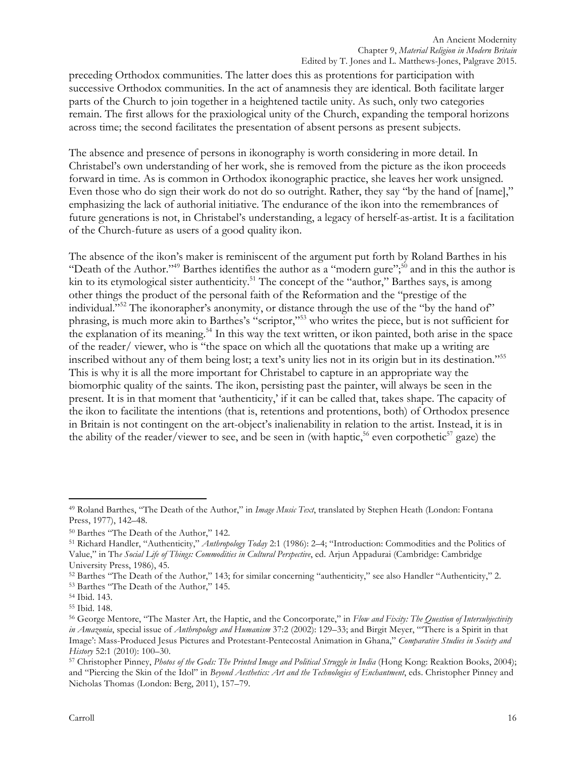preceding Orthodox communities. The latter does this as protentions for participation with successive Orthodox communities. In the act of anamnesis they are identical. Both facilitate larger parts of the Church to join together in a heightened tactile unity. As such, only two categories remain. The first allows for the praxiological unity of the Church, expanding the temporal horizons across time; the second facilitates the presentation of absent persons as present subjects.

The absence and presence of persons in ikonography is worth considering in more detail. In Christabel's own understanding of her work, she is removed from the picture as the ikon proceeds forward in time. As is common in Orthodox ikonographic practice, she leaves her work unsigned. Even those who do sign their work do not do so outright. Rather, they say "by the hand of [name]," emphasizing the lack of authorial initiative. The endurance of the ikon into the remembrances of future generations is not, in Christabel's understanding, a legacy of herself-as-artist. It is a facilitation of the Church-future as users of a good quality ikon.

The absence of the ikon's maker is reminiscent of the argument put forth by Roland Barthes in his "Death of the Author."<sup>49</sup> Barthes identifies the author as a "modern gure";<sup>50</sup> and in this the author is kin to its etymological sister authenticity.<sup>51</sup> The concept of the "author," Barthes says, is among other things the product of the personal faith of the Reformation and the "prestige of the individual."<sup>52</sup> The ikonorapher's anonymity, or distance through the use of the "by the hand of" phrasing, is much more akin to Barthes's "scriptor,"53 who writes the piece, but is not sufficient for the explanation of its meaning.54 In this way the text written, or ikon painted, both arise in the space of the reader/ viewer, who is "the space on which all the quotations that make up a writing are inscribed without any of them being lost; a text's unity lies not in its origin but in its destination."55 This is why it is all the more important for Christabel to capture in an appropriate way the biomorphic quality of the saints. The ikon, persisting past the painter, will always be seen in the present. It is in that moment that 'authenticity,' if it can be called that, takes shape. The capacity of the ikon to facilitate the intentions (that is, retentions and protentions, both) of Orthodox presence in Britain is not contingent on the art-object's inalienability in relation to the artist. Instead, it is in the ability of the reader/viewer to see, and be seen in (with haptic,<sup>56</sup> even corpothetic<sup>57</sup> gaze) the

<sup>49</sup> Roland Barthes, "The Death of the Author," in *Image Music Text*, translated by Stephen Heath (London: Fontana Press, 1977), 142–48.

<sup>50</sup> Barthes "The Death of the Author," 142. 51 Richard Handler, "Authenticity," *Anthropology Today* 2:1 (1986): 2–4; "Introduction: Commodities and the Politics of Value," in Th*e Social Life of Things: Commodities in Cultural Perspective*, ed. Arjun Appadurai (Cambridge: Cambridge University Press, 1986), 45.

<sup>52</sup> Barthes "The Death of the Author," 143; for similar concerning "authenticity," see also Handler "Authenticity," 2. <sup>53</sup> Barthes "The Death of the Author," 145.

<sup>54</sup> Ibid. 143.

<sup>55</sup> Ibid. 148.

<sup>56</sup> George Mentore, "The Master Art, the Haptic, and the Concorporate," in *Flow and Fixity: The Question of Intersubjectivity in Amazonia*, special issue of *Anthropology and Humanism* 37:2 (2002): 129–33; and Birgit Meyer, "'There is a Spirit in that Image': Mass-Produced Jesus Pictures and Protestant-Pentecostal Animation in Ghana," *Comparative Studies in Society and History* 52:1 (2010): 100–30.

<sup>57</sup> Christopher Pinney, *Photos of the Gods: The Printed Image and Political Struggle in India* (Hong Kong: Reaktion Books, 2004); and "Piercing the Skin of the Idol" in *Beyond Aesthetics: Art and the Technologies of Enchantment*, eds. Christopher Pinney and Nicholas Thomas (London: Berg, 2011), 157–79.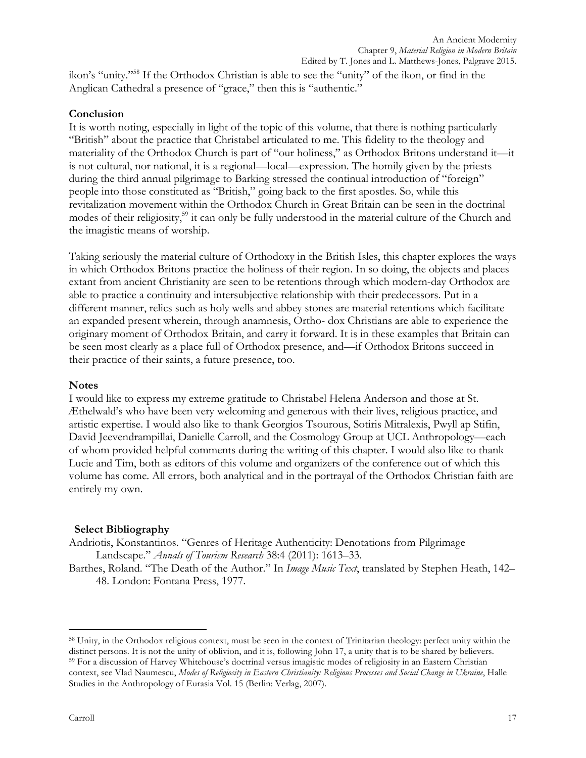ikon's "unity."58 If the Orthodox Christian is able to see the "unity" of the ikon, or find in the Anglican Cathedral a presence of "grace," then this is "authentic."

## **Conclusion**

It is worth noting, especially in light of the topic of this volume, that there is nothing particularly "British" about the practice that Christabel articulated to me. This fidelity to the theology and materiality of the Orthodox Church is part of "our holiness," as Orthodox Britons understand it—it is not cultural, nor national, it is a regional—local—expression. The homily given by the priests during the third annual pilgrimage to Barking stressed the continual introduction of "foreign" people into those constituted as "British," going back to the first apostles. So, while this revitalization movement within the Orthodox Church in Great Britain can be seen in the doctrinal modes of their religiosity,<sup>59</sup> it can only be fully understood in the material culture of the Church and the imagistic means of worship.

Taking seriously the material culture of Orthodoxy in the British Isles, this chapter explores the ways in which Orthodox Britons practice the holiness of their region. In so doing, the objects and places extant from ancient Christianity are seen to be retentions through which modern-day Orthodox are able to practice a continuity and intersubjective relationship with their predecessors. Put in a different manner, relics such as holy wells and abbey stones are material retentions which facilitate an expanded present wherein, through anamnesis, Ortho- dox Christians are able to experience the originary moment of Orthodox Britain, and carry it forward. It is in these examples that Britain can be seen most clearly as a place full of Orthodox presence, and—if Orthodox Britons succeed in their practice of their saints, a future presence, too.

#### **Notes**

I would like to express my extreme gratitude to Christabel Helena Anderson and those at St. Æthelwald's who have been very welcoming and generous with their lives, religious practice, and artistic expertise. I would also like to thank Georgios Tsourous, Sotiris Mitralexis, Pwyll ap Stifin, David Jeevendrampillai, Danielle Carroll, and the Cosmology Group at UCL Anthropology—each of whom provided helpful comments during the writing of this chapter. I would also like to thank Lucie and Tim, both as editors of this volume and organizers of the conference out of which this volume has come. All errors, both analytical and in the portrayal of the Orthodox Christian faith are entirely my own.

## **Select Bibliography**

 

Andriotis, Konstantinos. "Genres of Heritage Authenticity: Denotations from Pilgrimage Landscape." *Annals of Tourism Research* 38:4 (2011): 1613–33.

Barthes, Roland. "The Death of the Author." In *Image Music Text*, translated by Stephen Heath, 142– 48. London: Fontana Press, 1977.

<sup>58</sup> Unity, in the Orthodox religious context, must be seen in the context of Trinitarian theology: perfect unity within the distinct persons. It is not the unity of oblivion, and it is, following John 17, a unity that is to be shared by believers. <sup>59</sup> For a discussion of Harvey Whitehouse's doctrinal versus imagistic modes of religiosity in an Eastern Christian context, see Vlad Naumescu, *Modes of Religiosity in Eastern Christianity: Religious Processes and Social Change in Ukraine*, Halle Studies in the Anthropology of Eurasia Vol. 15 (Berlin: Verlag, 2007).